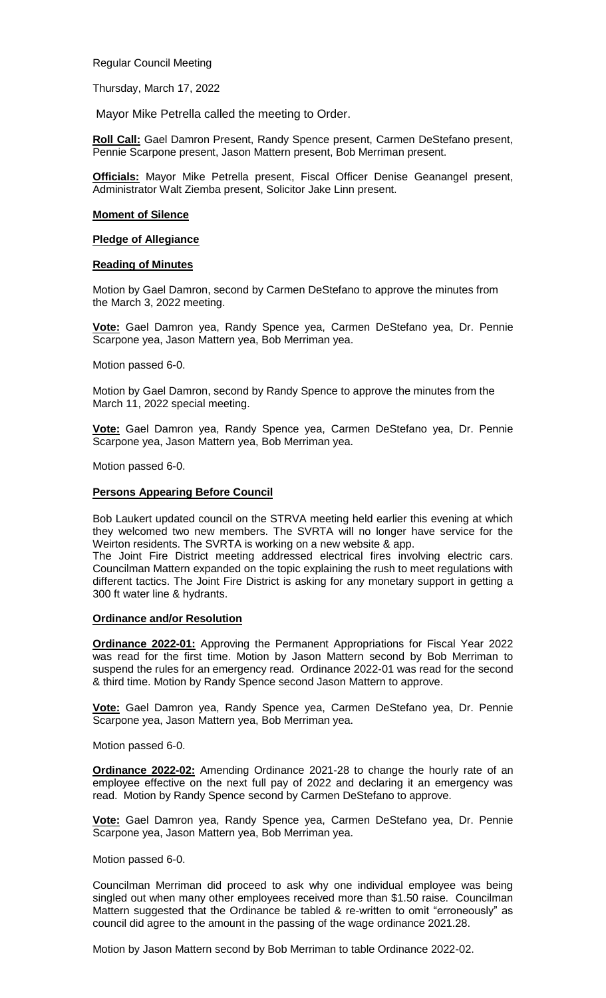Regular Council Meeting

Thursday, March 17, 2022

Mayor Mike Petrella called the meeting to Order.

**Roll Call:** Gael Damron Present, Randy Spence present, Carmen DeStefano present, Pennie Scarpone present, Jason Mattern present, Bob Merriman present.

**Officials:** Mayor Mike Petrella present, Fiscal Officer Denise Geanangel present, Administrator Walt Ziemba present, Solicitor Jake Linn present.

#### **Moment of Silence**

### **Pledge of Allegiance**

### **Reading of Minutes**

Motion by Gael Damron, second by Carmen DeStefano to approve the minutes from the March 3, 2022 meeting.

**Vote:** Gael Damron yea, Randy Spence yea, Carmen DeStefano yea, Dr. Pennie Scarpone yea, Jason Mattern yea, Bob Merriman yea.

Motion passed 6-0.

Motion by Gael Damron, second by Randy Spence to approve the minutes from the March 11, 2022 special meeting.

**Vote:** Gael Damron yea, Randy Spence yea, Carmen DeStefano yea, Dr. Pennie Scarpone yea, Jason Mattern yea, Bob Merriman yea.

Motion passed 6-0.

### **Persons Appearing Before Council**

Bob Laukert updated council on the STRVA meeting held earlier this evening at which they welcomed two new members. The SVRTA will no longer have service for the Weirton residents. The SVRTA is working on a new website & app.

The Joint Fire District meeting addressed electrical fires involving electric cars. Councilman Mattern expanded on the topic explaining the rush to meet regulations with different tactics. The Joint Fire District is asking for any monetary support in getting a 300 ft water line & hydrants.

### **Ordinance and/or Resolution**

**Ordinance 2022-01:** Approving the Permanent Appropriations for Fiscal Year 2022 was read for the first time. Motion by Jason Mattern second by Bob Merriman to suspend the rules for an emergency read. Ordinance 2022-01 was read for the second & third time. Motion by Randy Spence second Jason Mattern to approve.

**Vote:** Gael Damron yea, Randy Spence yea, Carmen DeStefano yea, Dr. Pennie Scarpone yea, Jason Mattern yea, Bob Merriman yea.

Motion passed 6-0.

**Ordinance 2022-02:** Amending Ordinance 2021-28 to change the hourly rate of an employee effective on the next full pay of 2022 and declaring it an emergency was read. Motion by Randy Spence second by Carmen DeStefano to approve.

**Vote:** Gael Damron yea, Randy Spence yea, Carmen DeStefano yea, Dr. Pennie Scarpone yea, Jason Mattern yea, Bob Merriman yea.

Motion passed 6-0.

Councilman Merriman did proceed to ask why one individual employee was being singled out when many other employees received more than \$1.50 raise. Councilman Mattern suggested that the Ordinance be tabled & re-written to omit "erroneously" as council did agree to the amount in the passing of the wage ordinance 2021.28.

Motion by Jason Mattern second by Bob Merriman to table Ordinance 2022-02.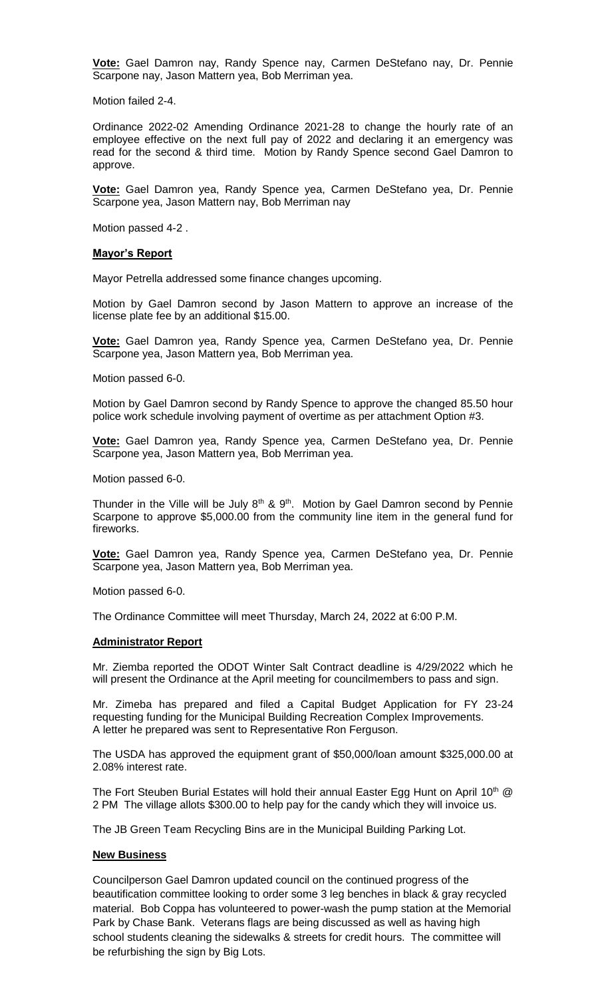**Vote:** Gael Damron nay, Randy Spence nay, Carmen DeStefano nay, Dr. Pennie Scarpone nay, Jason Mattern yea, Bob Merriman yea.

Motion failed 2-4.

Ordinance 2022-02 Amending Ordinance 2021-28 to change the hourly rate of an employee effective on the next full pay of 2022 and declaring it an emergency was read for the second & third time. Motion by Randy Spence second Gael Damron to approve.

**Vote:** Gael Damron yea, Randy Spence yea, Carmen DeStefano yea, Dr. Pennie Scarpone yea, Jason Mattern nay, Bob Merriman nay

Motion passed 4-2 .

### **Mayor's Report**

Mayor Petrella addressed some finance changes upcoming.

Motion by Gael Damron second by Jason Mattern to approve an increase of the license plate fee by an additional \$15.00.

**Vote:** Gael Damron yea, Randy Spence yea, Carmen DeStefano yea, Dr. Pennie Scarpone yea, Jason Mattern yea, Bob Merriman yea.

Motion passed 6-0.

Motion by Gael Damron second by Randy Spence to approve the changed 85.50 hour police work schedule involving payment of overtime as per attachment Option #3.

**Vote:** Gael Damron yea, Randy Spence yea, Carmen DeStefano yea, Dr. Pennie Scarpone yea, Jason Mattern yea, Bob Merriman yea.

Motion passed 6-0.

Thunder in the Ville will be July  $8<sup>th</sup>$  &  $9<sup>th</sup>$ . Motion by Gael Damron second by Pennie Scarpone to approve \$5,000.00 from the community line item in the general fund for fireworks.

**Vote:** Gael Damron yea, Randy Spence yea, Carmen DeStefano yea, Dr. Pennie Scarpone yea, Jason Mattern yea, Bob Merriman yea.

Motion passed 6-0.

The Ordinance Committee will meet Thursday, March 24, 2022 at 6:00 P.M.

### **Administrator Report**

Mr. Ziemba reported the ODOT Winter Salt Contract deadline is 4/29/2022 which he will present the Ordinance at the April meeting for councilmembers to pass and sign.

Mr. Zimeba has prepared and filed a Capital Budget Application for FY 23-24 requesting funding for the Municipal Building Recreation Complex Improvements. A letter he prepared was sent to Representative Ron Ferguson.

The USDA has approved the equipment grant of \$50,000/loan amount \$325,000.00 at 2.08% interest rate.

The Fort Steuben Burial Estates will hold their annual Easter Egg Hunt on April 10<sup>th</sup>  $@$ 2 PM The village allots \$300.00 to help pay for the candy which they will invoice us.

The JB Green Team Recycling Bins are in the Municipal Building Parking Lot.

## **New Business**

Councilperson Gael Damron updated council on the continued progress of the beautification committee looking to order some 3 leg benches in black & gray recycled material. Bob Coppa has volunteered to power-wash the pump station at the Memorial Park by Chase Bank. Veterans flags are being discussed as well as having high school students cleaning the sidewalks & streets for credit hours. The committee will be refurbishing the sign by Big Lots.